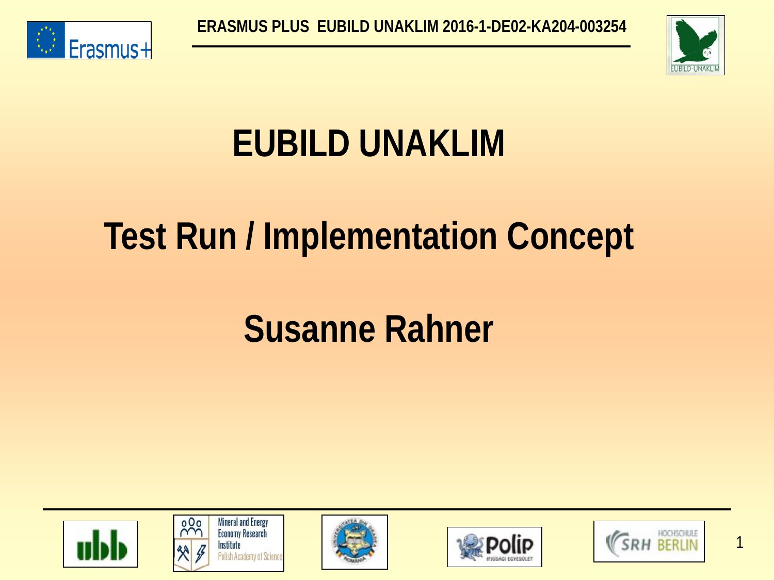



## **EUBILD UNAKLIM**

## **Test Run / Implementation Concept**

## **Susanne Rahner**











1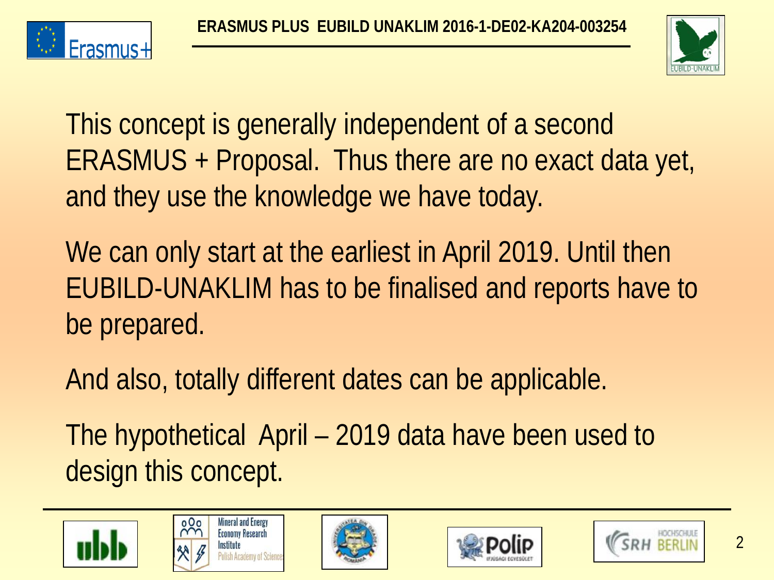



This concept is generally independent of a second ERASMUS + Proposal. Thus there are no exact data yet, and they use the knowledge we have today.

We can only start at the earliest in April 2019. Until then EUBILD-UNAKLIM has to be finalised and reports have to be prepared.

And also, totally different dates can be applicable.

The hypothetical April – 2019 data have been used to design this concept.









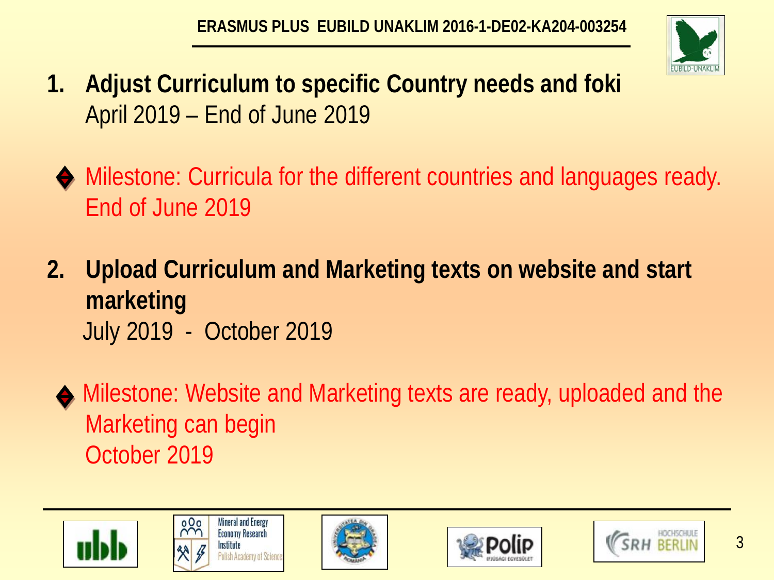

- **1. Adjust Curriculum to specific Country needs and foki** April 2019 – End of June 2019
- Milestone: Curricula for the different countries and languages ready. End of June 2019
- **2. Upload Curriculum and Marketing texts on website and start marketing**  July 2019 - October 2019
	- Milestone: Website and Marketing texts are ready, uploaded and the Marketing can begin October 2019









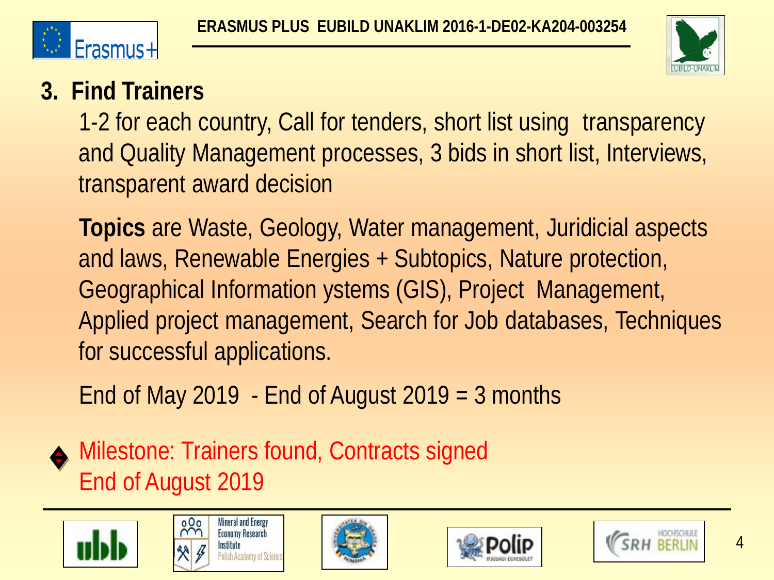



#### **3. Find Trainers**

1-2 for each country, Call for tenders, short list using transparency and Quality Management processes, 3 bids in short list, Interviews, transparent award decision

**Topics** are Waste, Geology, Water management, Juridicial aspects and laws, Renewable Energies + Subtopics, Nature protection, Geographical Information ystems (GIS), Project Management, Applied project management, Search for Job databases, Techniques for successful applications.

End of May 2019 - End of August  $2019 = 3$  months

Milestone: Trainers found, Contracts signed End of August 2019









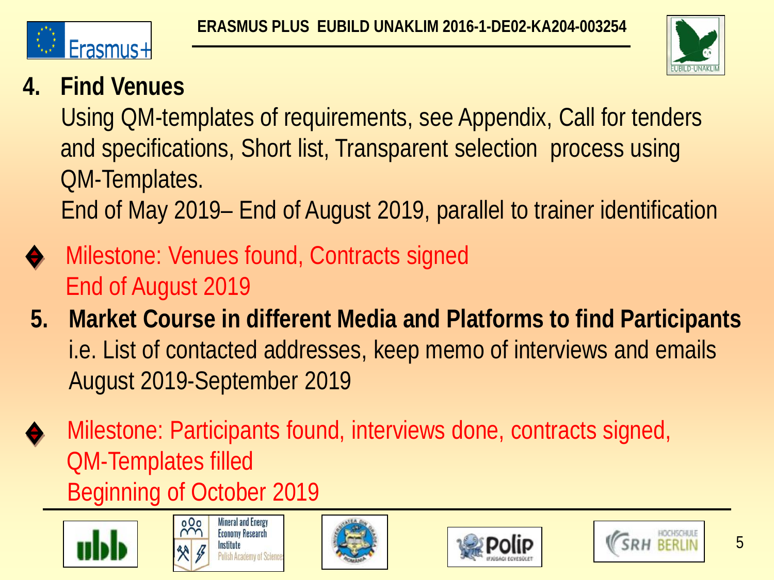



### **4. Find Venues**

Using QM-templates of requirements, see Appendix, Call for tenders and specifications, Short list, Transparent selection process using QM-Templates.

End of May 2019– End of August 2019, parallel to trainer identification

- Milestone: Venues found, Contracts signed End of August 2019
- **5. Market Course in different Media and Platforms to find Participants** i.e. List of contacted addresses, keep memo of interviews and emails August 2019-September 2019
- Milestone: Participants found, interviews done, contracts signed, QM-Templates filled Beginning of October 2019









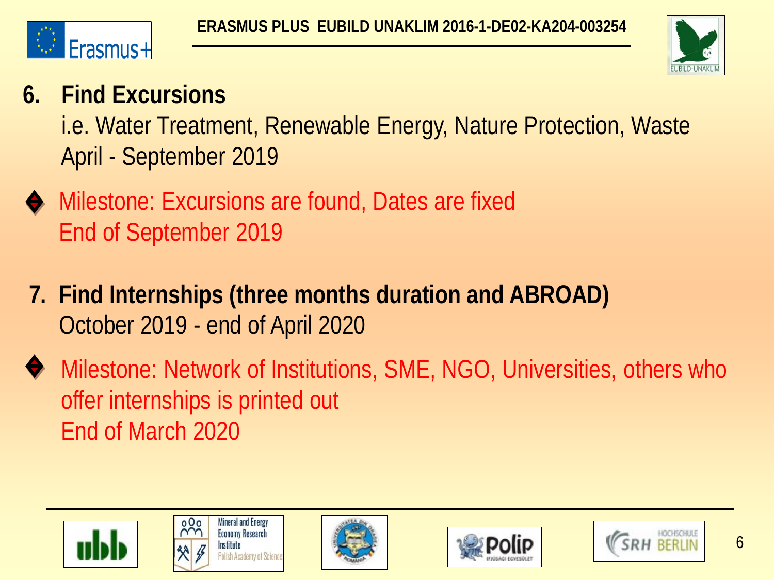



#### **6. Find Excursions**

i.e. Water Treatment, Renewable Energy, Nature Protection, Waste April - September 2019

- Milestone: Excursions are found, Dates are fixed End of September 2019
- **7. Find Internships (three months duration and ABROAD)** October 2019 - end of April 2020
- Milestone: Network of Institutions, SME, NGO, Universities, others who offer internships is printed out End of March 2020









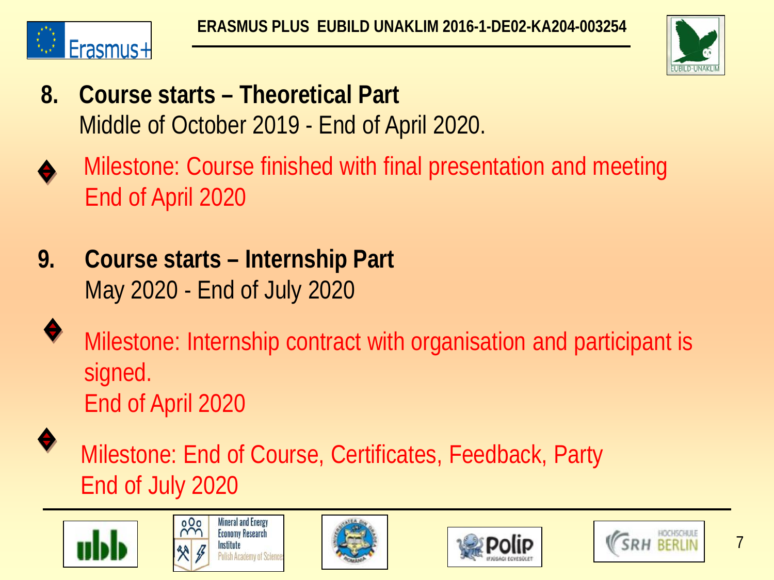



- **8. Course starts – Theoretical Part**  Middle of October 2019 - End of April 2020.
- Milestone: Course finished with final presentation and meeting End of April 2020
- **9. Course starts – Internship Part** May 2020 - End of July 2020
	- Milestone: Internship contract with organisation and participant is signed. End of April 2020

 Milestone: End of Course, Certificates, Feedback, Party End of July 2020









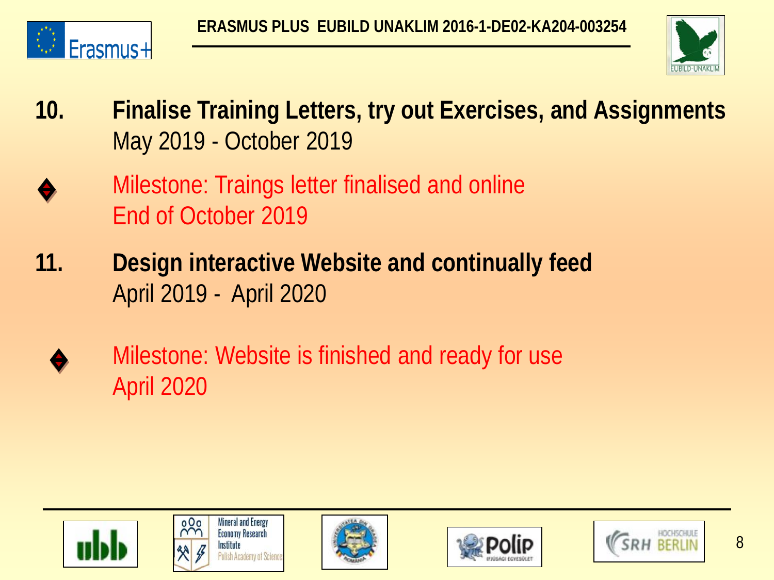



- **10. Finalise Training Letters, try out Exercises, and Assignments** May 2019 - October 2019
- Milestone: Traings letter finalised and online End of October 2019
- **11. Design interactive Website and continually feed**  April 2019 - April 2020
	- Milestone: Website is finished and ready for use April 2020









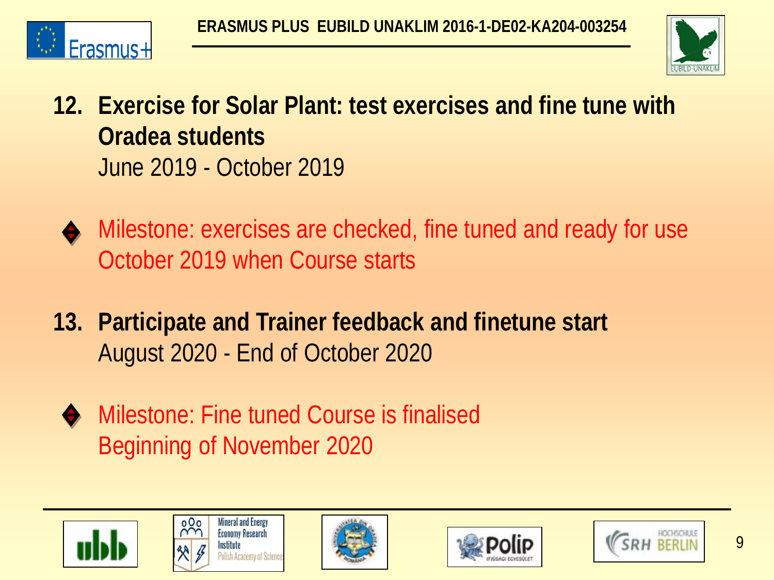



- **12. Exercise for Solar Plant: test exercises and fine tune with Oradea students**  June 2019 - October 2019
	- Milestone: exercises are checked, fine tuned and ready for use October 2019 when Course starts
- **13. Participate and Trainer feedback and finetune start** August 2020 - End of October 2020
	- ◆ Milestone: Fine tuned Course is finalised Beginning of November 2020









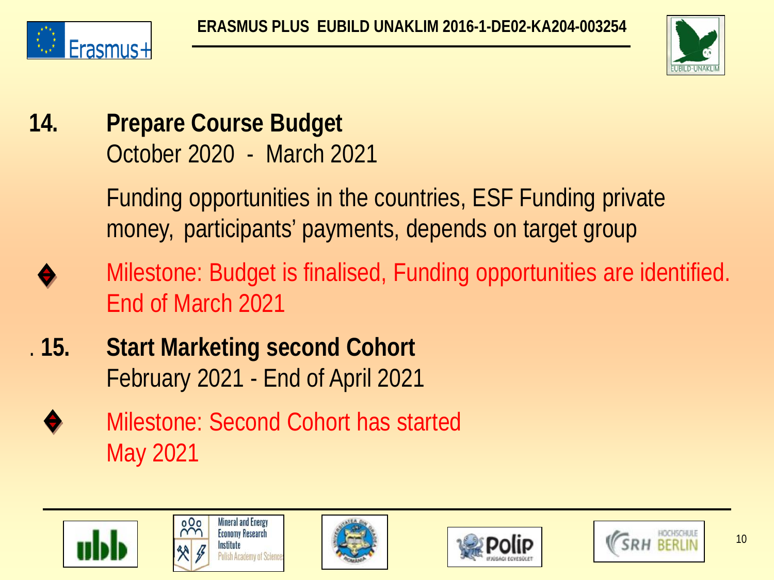



**14. Prepare Course Budget** October 2020 - March 2021

> Funding opportunities in the countries, ESF Funding private money, participants' payments, depends on target group

- Milestone: Budget is finalised, Funding opportunities are identified. End of March 2021
- . **15. Start Marketing second Cohort** February 2021 - End of April 2021
	- Milestone: Second Cohort has started May 2021









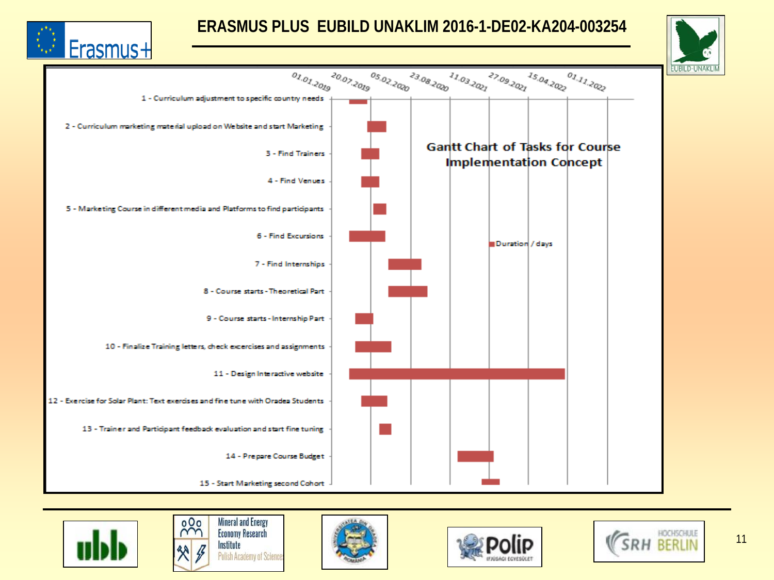

#### **ERASMUS PLUS EUBILD UNAKLIM 2016-1-DE02-KA204-003254**













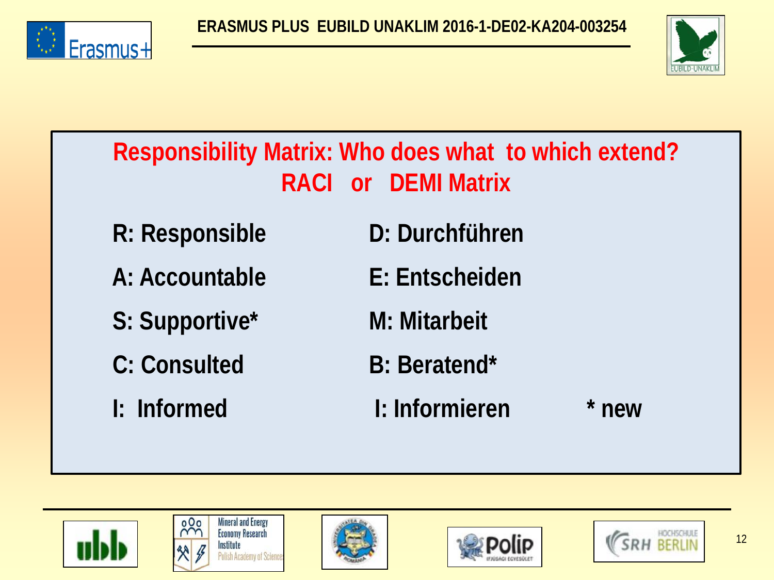



| Responsibility Matrix: Who does what to which extend?<br><b>RACI or DEMI Matrix</b> |                      |         |  |  |
|-------------------------------------------------------------------------------------|----------------------|---------|--|--|
| R: Responsible                                                                      | D: Durchführen       |         |  |  |
| A: Accountable                                                                      | E: Entscheiden       |         |  |  |
| S: Supportive*                                                                      | M: Mitarbeit         |         |  |  |
| C: Consulted                                                                        | <b>B</b> : Beratend* |         |  |  |
| I: Informed                                                                         | I: Informieren       | $*$ new |  |  |
|                                                                                     |                      |         |  |  |









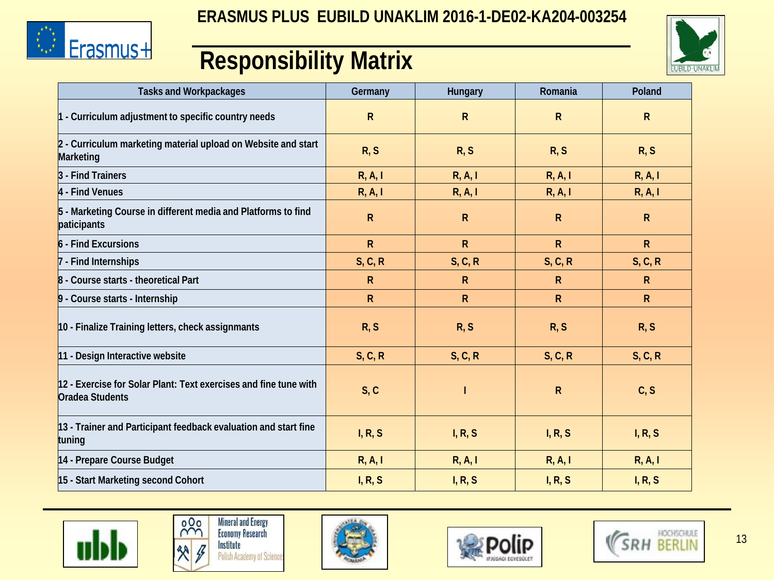





#### **Responsibility Matrix**

| <b>Tasks and Workpackages</b>                                                       | Germany      | Hungary      | Romania      | Poland       |
|-------------------------------------------------------------------------------------|--------------|--------------|--------------|--------------|
| $1$ - Curriculum adjustment to specific country needs                               | $\mathsf R$  | $\mathsf{R}$ | $\mathsf{R}$ | $\mathsf{R}$ |
| 2 - Curriculum marketing material upload on Website and start<br>Marketing          | R, S         | R, S         | R, S         | R, S         |
| - Find Trainers                                                                     | R, A, I      | R, A, I      | R, A, I      | R, A, I      |
| 4 - Find Venues                                                                     | R, A, I      | R, A, I      | R, A, I      | R, A, I      |
| 5 - Marketing Course in different media and Platforms to find<br>paticipants        | R            | $\mathsf{R}$ | $\mathsf{R}$ | $\mathsf{R}$ |
| 6 - Find Excursions                                                                 | $\mathsf{R}$ | $\mathsf{R}$ | $\mathsf{R}$ | $\mathsf{R}$ |
| - Find Internships                                                                  | S, C, R      | S, C, R      | S, C, R      | S, C, R      |
| 8 - Course starts - theoretical Part                                                | R            | $\mathsf{R}$ | $\mathsf{R}$ | $\mathsf{R}$ |
| - Course starts - Internship                                                        | $\mathsf{R}$ | $\mathsf{R}$ | $\mathsf{R}$ | $\mathsf{R}$ |
| 10 - Finalize Training letters, check assignmants                                   | R, S         | R, S         | R, S         | R, S         |
| 11 - Design Interactive website                                                     | S, C, R      | S, C, R      | S, C, R      | S, C, R      |
| 12 - Exercise for Solar Plant: Text exercises and fine tune with<br>Oradea Students | S, C         |              | $\mathsf{R}$ | C, S         |
| 13 - Trainer and Participant feedback evaluation and start fine<br>tuning           | I, R, S      | I, R, S      | I, R, S      | I, R, S      |
| 14 - Prepare Course Budget                                                          | R, A, I      | R, A, I      | R, A, I      | R, A, I      |
| 15 - Start Marketing second Cohort                                                  | I, R, S      | I, R, S      | I, R, S      | I, R, S      |